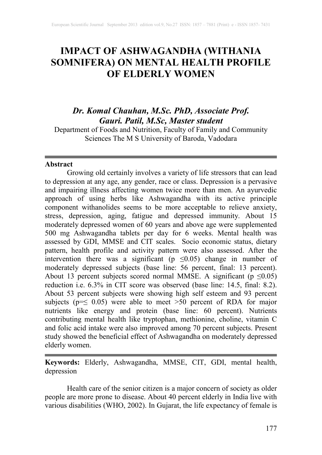# **IMPACT OF ASHWAGANDHA (WITHANIA SOMNIFERA) ON MENTAL HEALTH PROFILE OF ELDERLY WOMEN**

# *Dr. Komal Chauhan, M.Sc. PhD, Associate Prof. Gauri. Patil, M.Sc, Master student*

Department of Foods and Nutrition, Faculty of Family and Community Sciences The M S University of Baroda, Vadodara

# **Abstract**

Growing old certainly involves a variety of life stressors that can lead to depression at any age, any gender, race or class. Depression is a pervasive and impairing illness affecting women twice more than men. An ayurvedic approach of using herbs like Ashwagandha with its active principle component withanolides seems to be more acceptable to relieve anxiety, stress, depression, aging, fatigue and depressed immunity. About 15 moderately depressed women of 60 years and above age were supplemented 500 mg Ashwagandha tablets per day for 6 weeks. Mental health was assessed by GDI, MMSE and CIT scales. Socio economic status, dietary pattern, health profile and activity pattern were also assessed. After the intervention there was a significant ( $p \leq 0.05$ ) change in number of moderately depressed subjects (base line: 56 percent, final: 13 percent). About 13 percent subjects scored normal MMSE. A significant ( $p \le 0.05$ ) reduction i.e. 6.3% in CIT score was observed (base line: 14.5, final: 8.2). About 53 percent subjects were showing high self esteem and 93 percent subjects ( $p=\leq 0.05$ ) were able to meet >50 percent of RDA for major nutrients like energy and protein (base line: 60 percent). Nutrients contributing mental health like tryptophan, methionine, choline, vitamin C and folic acid intake were also improved among 70 percent subjects. Present study showed the beneficial effect of Ashwagandha on moderately depressed elderly women.

**Keywords:** Elderly, Ashwagandha, MMSE, CIT, GDI, mental health, depression

Health care of the senior citizen is a major concern of society as older people are more prone to disease. About 40 percent elderly in India live with various disabilities (WHO, 2002). In Gujarat, the life expectancy of female is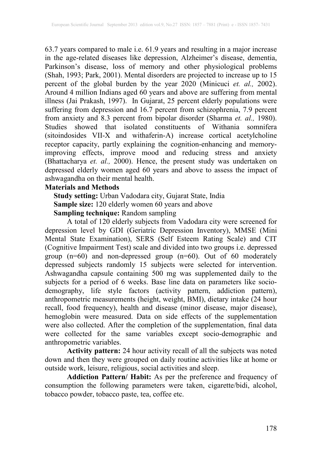63.7 years compared to male i.e. 61.9 years and resulting in a major increase in the age-related diseases like depression, Alzheimer's disease, dementia, Parkinson's disease, loss of memory and other physiological problems (Shah, 1993; Park, 2001). Mental disorders are projected to increase up to 15 percent of the global burden by the year 2020 (Minicuci *et. al.,* 2002). Around 4 million Indians aged 60 years and above are suffering from mental illness (Jai Prakash, 1997). In Gujarat, 25 percent elderly populations were suffering from depression and 16.7 percent from schizophrenia, 7.9 percent from anxiety and 8.3 percent from bipolar disorder (Sharma *et. al.,* 1980). Studies showed that isolated constituents of Withania somnifera (sitoindosides VII-X and withaferin-A) increase cortical acetylcholine receptor capacity, partly explaining the cognition-enhancing and memoryimproving effects, improve mood and reducing stress and anxiety (Bhattacharya *et. al.,* 2000). Hence, the present study was undertaken on depressed elderly women aged 60 years and above to assess the impact of ashwagandha on their mental health.

# **Materials and Methods**

**Study setting:** Urban Vadodara city, Gujarat State, India **Sample size:** 120 elderly women 60 years and above **Sampling technique:** Random sampling

A total of 120 elderly subjects from Vadodara city were screened for depression level by GDI (Geriatric Depression Inventory), MMSE (Mini Mental State Examination), SERS (Self Esteem Rating Scale) and CIT (Cognitive Impairment Test) scale and divided into two groups i.e. depressed group (n=60) and non-depressed group (n=60). Out of 60 moderately depressed subjects randomly 15 subjects were selected for intervention. Ashwagandha capsule containing 500 mg was supplemented daily to the subjects for a period of 6 weeks. Base line data on parameters like sociodemography, life style factors (activity pattern, addiction pattern), anthropometric measurements (height, weight, BMI), dietary intake (24 hour recall, food frequency), health and disease (minor disease, major disease), hemoglobin were measured. Data on side effects of the supplementation were also collected. After the completion of the supplementation, final data were collected for the same variables except socio-demographic and anthropometric variables.

**Activity pattern:** 24 hour activity recall of all the subjects was noted down and then they were grouped on daily routine activities like at home or outside work, leisure, religious, social activities and sleep.

**Addiction Pattern/ Habit:** As per the preference and frequency of consumption the following parameters were taken, cigarette/bidi, alcohol, tobacco powder, tobacco paste, tea, coffee etc.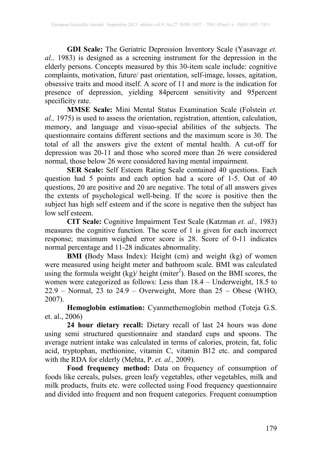**GDI Scale:** The Geriatric Depression Inventory Scale (Yasavage *et. al.,* 1983) is designed as a screening instrument for the depression in the elderly persons. Concepts measured by this 30-item scale include: cognitive complaints, motivation, future/ past orientation, self-image, losses, agitation, obsessive traits and mood itself. A score of 11 and more is the indication for presence of depression, yielding 84percent sensitivity and 95percent specificity rate.

**MMSE Scale:** Mini Mental Status Examination Scale (Folstein *et. al.,* 1975) is used to assess the orientation, registration, attention, calculation, memory, and language and visuo-special abilities of the subjects. The questionnaire contains different sections and the maximum score is 30. The total of all the answers give the extent of mental health. A cut-off for depression was 20-11 and those who scored more than 26 were considered normal, those below 26 were considered having mental impairment.

**SER Scale:** Self Esteem Rating Scale contained 40 questions. Each question had 5 points and each option had a score of 1-5. Out of 40 questions, 20 are positive and 20 are negative. The total of all answers gives the extents of psychological well-being. If the score is positive then the subject has high self esteem and if the score is negative then the subject has low self esteem. low self esteem.

**CIT Scale:** Cognitive Impairment Test Scale (Katzman *et. al.,* 1983) measures the cognitive function. The score of 1 is given for each incorrect response; maximum weighed error score is 28. Score of 0-11 indicates normal percentage and 11-28 indicates abnormality.

**BMI (**Body Mass Index): Height (cm) and weight (kg) of women were measured using height meter and bathroom scale. BMI was calculated using the formula weight  $(kg)/$  height (miter<sup>2</sup>). Based on the BMI scores, the women were categorized as follows: Less than 18.4 – Underweight, 18.5 to  $22.9$  – Normal, 23 to  $24.9$  – Overweight, More than  $25$  – Obese (WHO, 2007).

**Hemoglobin estimation:** Cyanmethemoglobin method (Toteja G.S. et. al., 2006)

**24 hour dietary recall:** Dietary recall of last 24 hours was done using semi structured questionnaire and standard cups and spoons. The average nutrient intake was calculated in terms of calories, protein, fat, folic acid, tryptophan, methionine, vitamin C, vitamin B12 etc. and compared with the RDA for elderly (Mehta, P. *et. al.,* 2009).

**Food frequency method:** Data on frequency of consumption of foods like cereals, pulses, green leafy vegetables, other vegetables, milk and milk products, fruits etc. were collected using Food frequency questionnaire and divided into frequent and non frequent categories. Frequent consumption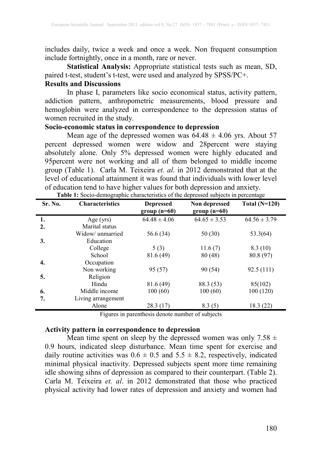includes daily, twice a week and once a week. Non frequent consumption include fortnightly, once in a month, rare or never.

**Statistical Analysis:** Appropriate statistical tests such as mean, SD, paired t-test, student's t-test, were used and analyzed by SPSS/PC+.

# **Results and Discussions**

In phase I, parameters like socio economical status, activity pattern, addiction pattern, anthropometric measurements, blood pressure and hemoglobin were analyzed in correspondence to the depression status of women recruited in the study.

## **Socio-economic status in correspondence to depression**

Mean age of the depressed women was  $64.48 \pm 4.06$  yrs. About 57 percent depressed women were widow and 28percent were staying absolutely alone. Only 5% depressed women were highly educated and 95percent were not working and all of them belonged to middle income group (Table 1). [Carla M. Teixeira](http://link.springer.com/search?facet-author=%22Carla+M.+Teixeira%22) *et. al*. in 2012 demonstrated that at the level of educational attainment it was found that individuals with lower level of education tend to have higher values for both depression and anxiety.

| Sr. No.          | <b>Characteristics</b> | <b>Depressed</b><br>$group(n=60)$ | Non depressed<br>$group(n=60)$ | Total $(N=120)$  |
|------------------|------------------------|-----------------------------------|--------------------------------|------------------|
| 1.               | Age (yrs)              | $64.48 \pm 4.06$                  | $64.65 \pm 3.53$               | $64.56 \pm 3.79$ |
| $\overline{2}$ . | Marital status         |                                   |                                |                  |
|                  | Widow/ unmarried       | 56.6 (34)                         | 50(30)                         | 53.3(64)         |
| 3.               | Education              |                                   |                                |                  |
|                  | College                | 5(3)                              | 11.6(7)                        | 8.3(10)          |
|                  | School                 | 81.6(49)                          | 80(48)                         | 80.8 (97)        |
| 4.               | Occupation             |                                   |                                |                  |
|                  | Non working            | 95 (57)                           | 90 (54)                        | 92.5(111)        |
| 5.               | Religion               |                                   |                                |                  |
|                  | Hindu                  | 81.6(49)                          | 88.3 (53)                      | 85(102)          |
| 6.               | Middle income          | 100(60)                           | 100(60)                        | 100 (120)        |
| 7.               | Living arrangement     |                                   |                                |                  |
|                  | Alone                  | 28.3(17)                          | 8.3(5)                         | 18.3 (22)        |

**Table 1:** Socio-demographic characteristics of the depressed subjects in percentage

Figures in parenthesis denote number of subjects

### **Activity pattern in correspondence to depression**

Mean time spent on sleep by the depressed women was only  $7.58 \pm$ 0.9 hours, indicated sleep disturbance. Mean time spent for exercise and daily routine activities was  $0.6 \pm 0.5$  and  $5.5 \pm 8.2$ , respectively, indicated minimal physical inactivity. Depressed subjects spent more time remaining idle showing sihns of depression as compared to their counterpart. (Table 2). [Carla M. Teixeira](http://link.springer.com/search?facet-author=%22Carla+M.+Teixeira%22) *et. al*. in 2012 demonstrated that those who practiced physical activity had lower rates of depression and anxiety and women had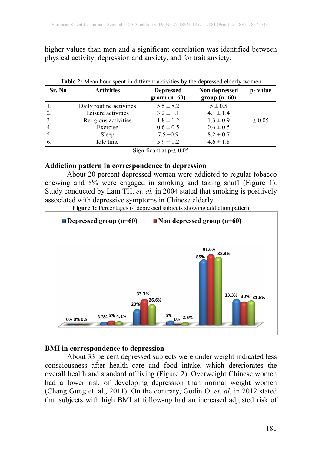higher values than men and a significant correlation was identified between physical activity, depression and anxiety, and for trait anxiety.

| Sr. No | <b>Activities</b>        | <b>Depressed</b><br>$group(n=60)$ | Non depressed<br>group $(n=60)$ | p-value      |
|--------|--------------------------|-----------------------------------|---------------------------------|--------------|
| -1.    | Daily routine activities | $5.5 \pm 8.2$                     | $5 \pm 0.5$                     |              |
| 2.     | Leisure activities       | $3.2 \pm 1.1$                     | $4.1 \pm 1.4$                   |              |
| 3.     | Religious activities     | $1.8 \pm 1.2$                     | $1.3 \pm 0.9$                   | ${}^{<}0.05$ |
| 4.     | Exercise                 | $0.6 \pm 0.5$                     | $0.6 \pm 0.5$                   |              |
| 5.     | Sleep                    | $7.5 \pm 0.9$                     | $8.2 \pm 0.7$                   |              |
| 6.     | Idle time                | $5.9 \pm 1.2$                     | $4.6 \pm 1.8$                   |              |

Significant at  $p \leq 0.05$ 

### **Addiction pattern in correspondence to depression**

About 20 percent depressed women were addicted to regular tobacco chewing and 8% were engaged in smoking and taking snuff (Figure 1). Study conducted by [Lam TH.](http://www.ncbi.nlm.nih.gov/pubmed?term=Lam%20TH%5BAuthor%5D&cauthor=true&cauthor_uid=15283739) *et. al.* in 2004 stated that smoking is positively associated with depressive symptoms in Chinese elderly.

**Figure 1:** Percentages of depressed subjects showing addiction pattern



## **BMI in correspondence to depression**

About 33 percent depressed subjects were under weight indicated less consciousness after health care and food intake, which deteriorates the overall health and standard of living (Figure 2). Overweight Chinese women had a lower risk of developing depression than normal weight women (Chang Gung et. al., 2011). On the contrary, [Godin O.](http://www.ncbi.nlm.nih.gov/pubmed?term=Godin%20O%5BAuthor%5D&cauthor=true&cauthor_uid=22781426) *et. al.* in 2012 stated that subjects with high BMI at follow-up had an increased adjusted risk of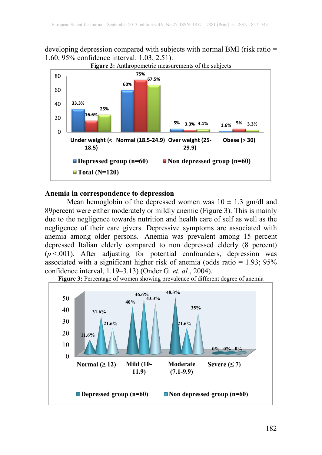developing depression compared with subjects with normal BMI (risk ratio = 1.60, 95% confidence interval: 1.03, 2.51).



#### **Anemia in correspondence to depression**

Mean hemoglobin of the depressed women was  $10 \pm 1.3$  gm/dl and 89percent were either moderately or mildly anemic (Figure 3). This is mainly due to the negligence towards nutrition and health care of self as well as the negligence of their care givers. Depressive symptoms are associated with anemia among older persons. Anemia was prevalent among 15 percent depressed Italian elderly compared to non depressed elderly (8 percent)  $(p < .001)$ . After adjusting for potential confounders, depression was associated with a significant higher risk of anemia (odds ratio  $= 1.93$ ; 95% confidence interval, 1.19–3.13) [\(Onder](http://biomedgerontology.oxfordjournals.org/search?author1=Graziano+Onder&sortspec=date&submit=Submit) G. *et. al.*, 2004).



Figure 3: Percentage of women showing prevalence of different degree of anemia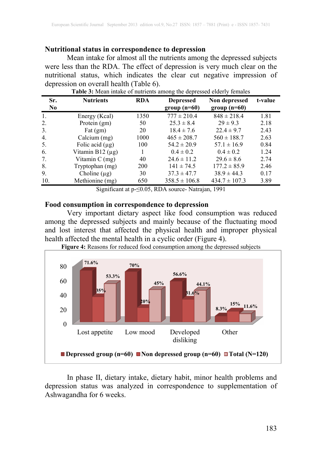# **Nutritional status in correspondence to depression**

Mean intake for almost all the nutrients among the depressed subjects were less than the RDA. The effect of depression is very much clear on the nutritional status, which indicates the clear cut negative impression of depression on overall health (Table 6).

| Sr.<br>N <sub>0</sub> | <b>Nutrients</b>      | <b>RDA</b> | <b>Depressed</b><br>$group(n=60)$ | Non depressed<br>$group(n=60)$ | t-value |
|-----------------------|-----------------------|------------|-----------------------------------|--------------------------------|---------|
| 1.                    | Energy (Kcal)         | 1350       | $777 \pm 210.4$                   | $848 \pm 218.4$                | 1.81    |
| 2.                    | Protein (gm)          | 50         | $25.3 \pm 8.4$                    | $29 \pm 9.3$                   | 2.18    |
| 3 <sub>1</sub>        | Fat $(gm)$            | 20         | $18.4 \pm 7.6$                    | $22.4 \pm 9.7$                 | 2.43    |
| $\overline{4}$ .      | Calcium (mg)          | 1000       | $465 \pm 208.7$                   | $560 \pm 188.7$                | 2.63    |
| 5.                    | Folic acid $(\mu g)$  | 100        | $54.2 \pm 20.9$                   | $57.1 \pm 16.9$                | 0.84    |
| 6.                    | Vitamin B12 $(\mu g)$ |            | $0.4 \pm 0.2$                     | $0.4 \pm 0.2$                  | 1.24    |
| 7.                    | Vitamin $C$ (mg)      | 40         | $24.6 \pm 11.2$                   | $29.6 \pm 8.6$                 | 2.74    |
| 8.                    | Tryptophan (mg)       | <b>200</b> | $141 \pm 74.5$                    | $177.2 \pm 85.9$               | 2.46    |
| 9.                    | Choline $(\mu g)$     | 30         | $37.3 \pm 47.7$                   | $38.9 \pm 44.3$                | 0.17    |
| 10.                   | Methionine (mg)       | 650        | $358.5 \pm 106.8$                 | $434.7 \pm 107.3$              | 3.89    |

**Table 3:** Mean intake of nutrients among the depressed elderly females

Significant at p-≤0.05, RDA source- Natrajan, 1991

### **Food consumption in correspondence to depression**

Very important dietary aspect like food consumption was reduced among the depressed subjects and mainly because of the fluctuating mood and lost interest that affected the physical health and improper physical health affected the mental health in a cyclic order (Figure 4).



**Figure 4:** Reasons for reduced food consumption among the depressed subjects

In phase II, dietary intake, dietary habit, minor health problems and depression status was analyzed in correspondence to supplementation of Ashwagandha for 6 weeks.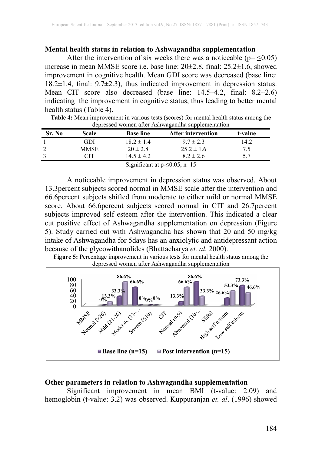# **Mental health status in relation to Ashwagandha supplementation**

After the intervention of six weeks there was a noticeable ( $p = \leq 0.05$ ) increase in mean MMSE score i.e. base line: 20±2.8, final: 25.2±1.6, showed improvement in cognitive health. Mean GDI score was decreased (base line: 18.2±1.4, final: 9.7±2.3), thus indicated improvement in depression status. Mean CIT score also decreased (base line: 14.5±4.2, final: 8.2±2.6) indicating the improvement in cognitive status, thus leading to better mental health status (Table 4).

**Table 4:** Mean improvement in various tests (scores) for mental health status among the depressed women after Ashwagandha supplementation

| Sr. No                               | Scale | <b>Base line</b> | After intervention | t-value |  |
|--------------------------------------|-------|------------------|--------------------|---------|--|
|                                      | GDI   | $18.2 \pm 1.4$   | $9.7 \pm 2.3$      | 14.2    |  |
| 2.                                   | MMSE  | $20 \pm 2.8$     | $25.2 \pm 1.6$     | 7.5     |  |
|                                      | CIT   | $14.5 \pm 4.2$   | $8.2 \pm 2.6$      | 57      |  |
| Significant at $p \le 0.05$ , $n=15$ |       |                  |                    |         |  |

A noticeable improvement in depression status was observed. About 13.3percent subjects scored normal in MMSE scale after the intervention and 66.6percent subjects shifted from moderate to either mild or normal MMSE score. About 66.6percent subjects scored normal in CIT and 26.7percent subjects improved self esteem after the intervention. This indicated a clear cut positive effect of Ashwagandha supplementation on depression (Figure 5). Study carried out with Ashwagandha has shown that 20 and 50 mg/kg intake of Ashwagandha for 5days has an anxiolytic and antidepressant action because of the glycowithanolides (Bhattacharya *et. al.* 2000).

**Figure 5:** Percentage improvement in various tests for mental health status among the depressed women after Ashwagandha supplementation



#### **Other parameters in relation to Ashwagandha supplementation**

Significant improvement in mean BMI (t-value: 2.09) and hemoglobin (t-value: 3.2) was observed. Kuppuranjan *et. al*. (1996) showed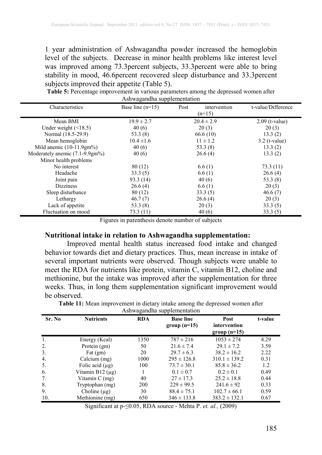1 year administration of Ashwagandha powder increased the hemoglobin level of the subjects. Decrease in minor health problems like interest level was improved among 73.3percent subjects, 33.3percent were able to bring stability in mood, 46.6percent recovered sleep disturbance and 33.3percent subjects improved their appetite (Table 5).

| <b>Table 5:</b> Percentage improvement in various parameters among the depressed women after |  |  |  |  |  |
|----------------------------------------------------------------------------------------------|--|--|--|--|--|
| Ashwagandha supplementation                                                                  |  |  |  |  |  |

| Characteristics                | Base line $(n=15)$ | Post<br>intervention | t-value/Difference |
|--------------------------------|--------------------|----------------------|--------------------|
|                                |                    | $(n=15)$             |                    |
| Mean BMI                       | $19.9 \pm 2.7$     | $20.4 \pm 2.9$       | $2.09$ (t-value)   |
| Under weight $($ < 18.5)       | 40(6)              | 20(3)                | 20(3)              |
| Normal (18.5-29.9)             | 53.3(8)            | 66.6(10)             | 13.3(2)            |
| Mean hemoglobin                | $10.4 \pm 1.6$     | $11 \pm 1.2$         | $3.2$ (t-value)    |
| Mild anemic $(10-11.9gm%)$     | 40(6)              | 53.3 $(8)$           | 13.3(2)            |
| Moderately anemic (7.1-9.9gm%) | 40(6)              | 26.6(4)              | 13.3(2)            |
| Minor health problems          |                    |                      |                    |
| No interest                    | 80(12)             | 6.6(1)               | 73.3(11)           |
| Headache                       | 33.3(5)            | 6.6(1)               | 26.6(4)            |
| Joint pain                     | 93.3 (14)          | 40(6)                | 53.3 $(8)$         |
| <b>Dizziness</b>               | 26.6(4)            | 6.6(1)               | 20(3)              |
| Sleep disturbance              | 80(12)             | 33.3(5)              | 46.6(7)            |
| Lethargy                       | 46.7(7)            | 26.6(4)              | 20(3)              |
| Lack of appetite               | 53.3 (8)           | 20(3)                | 33.3(5)            |
| Fluctuation on mood            | 73.3(11)           | 40(6)                | 33.3(5)            |

Figures in parenthesis denote number of subjects

#### **Nutritional intake in relation to Ashwagandha supplementation:**

Improved mental health status increased food intake and changed behavior towards diet and dietary practices. Thus, mean increase in intake of several important nutrients were observed. Though subjects were unable to meet the RDA for nutrients like protein, vitamin C, vitamin B12, choline and methionine, but the intake was improved after the supplementation for three weeks. Thus, in long them supplementation significant improvement would be observed.

| Sr. No           | <b>Nutrients</b>      | <b>RDA</b> | <b>Base line</b><br>$group(n=15)$ | Post<br>intervention<br>group $(n=15)$ | t-value |
|------------------|-----------------------|------------|-----------------------------------|----------------------------------------|---------|
| 1.               | Energy (Kcal)         | 1350       | $787 \pm 216$                     | $1053 \pm 274$                         | 4.29    |
| 2.               | Protein $(gm)$        | 50         | $21.6 \pm 7.4$                    | $29.1 \pm 7.2$                         | 3.59    |
| 3.               | Fat $(gm)$            | 20         | $29.7 \pm 6.3$                    | $38.2 \pm 16.2$                        | 2.22    |
| $\overline{4}$ . | Calcium (mg)          | 1000       | $295 \pm 126.8$                   | $310.1 \pm 139.2$                      | 0.31    |
| 5.               | Folic acid $(\mu g)$  | 100        | $73.7 \pm 30.1$                   | $85.8 \pm 36.2$                        | 1.2     |
| 6.               | Vitamin B12 $(\mu$ g) |            | $0.1 \pm 0.7$                     | $0.2 \pm 0.1$                          | 0.49    |
| 7.               | Vitamin $C$ (mg)      | 40         | $27 \pm 17.3$                     | $25.2 \pm 18.8$                        | 0.44    |
| 8.               | Tryptophan (mg)       | 200        | $229 \pm 99.5$                    | $241.6 \pm 92$                         | 0.33    |
| 9.               | Choline $(\mu g)$     | 30         | $88.4 \pm 75.1$                   | $102.7 \pm 66.1$                       | 0.59    |
| 10.              | Methionine (mg)       | 650        | $346 \pm 133.8$                   | $383.2 \pm 132.1$                      | 0.67    |
|                  |                       |            |                                   |                                        |         |

**Table 11:** Mean improvement in dietary intake among the depressed women after  $\Lambda$ chwagandha

Significant at p-≤0.05, RDA source - Mehta P. *et. al.,* (2009)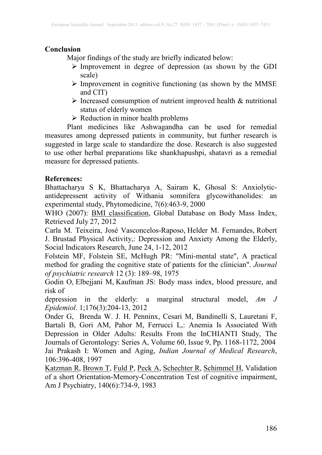# **Conclusion**

Major findings of the study are briefly indicated below:

- $\triangleright$  Improvement in degree of depression (as shown by the GDI scale)
- $\triangleright$  Improvement in cognitive functioning (as shown by the MMSE) and CIT)
- $\triangleright$  Increased consumption of nutrient improved health & nutritional status of elderly women
- $\triangleright$  Reduction in minor health problems

Plant medicines like Ashwagandha can be used for remedial measures among depressed patients in community, but further research is suggested in large scale to standardize the dose. Research is also suggested to use other herbal preparations like shankhapushpi, shatavri as a remedial measure for depressed patients.

# **References:**

Bhattacharya S K, Bhattacharya A, Sairam K, Ghosal S: Anxiolyticantidepressent activity of Withania somnifera glycowithanolides: an experimental study, Phytomedicine, 7(6):463-9, 2000

WHO (2007): **BMI classification**, Global Database on Body Mass Index, Retrieved July 27, 2012

[Carla M. Teixeira,](http://link.springer.com/search?facet-author=%22Carla+M.+Teixeira%22) [José Vasconcelos-](http://link.springer.com/search?facet-author=%22Jos%C3%A9+Vasconcelos-Raposo%22)Raposo, [Helder M. Fernandes,](http://link.springer.com/search?facet-author=%22Helder+M.+Fernandes%22) [Robert](http://link.springer.com/search?facet-author=%22Robert+J.+Brustad%22)  [J. Brustad](http://link.springer.com/search?facet-author=%22Robert+J.+Brustad%22) Physical Activity,: Depression and Anxiety Among the Elderly, [Social Indicators Research](http://link.springer.com/journal/11205), June 24, 1-12, 2012

Folstein MF, Folstein SE, McHugh PR: "Mini-mental state", A practical method for grading the cognitive state of patients for the clinician". *Journal of psychiatric research* 12 (3): 189–98, 1975

[Godin O,](http://www.ncbi.nlm.nih.gov/pubmed?term=Godin%20O%5BAuthor%5D&cauthor=true&cauthor_uid=22781426) [Elbejjani M,](http://www.ncbi.nlm.nih.gov/pubmed?term=Elbejjani%20M%5BAuthor%5D&cauthor=true&cauthor_uid=22781426) [Kaufman JS:](http://www.ncbi.nlm.nih.gov/pubmed?term=Kaufman%20JS%5BAuthor%5D&cauthor=true&cauthor_uid=22781426) Body mass index, blood pressure, and risk of

depression in the elderly: a marginal structural model, *[Am J](http://www.ncbi.nlm.nih.gov/pubmed/22781426)  [Epidemiol](http://www.ncbi.nlm.nih.gov/pubmed/22781426)*. 1;176(3):204-13, 2012

[Onder](http://biomedgerontology.oxfordjournals.org/search?author1=Graziano+Onder&sortspec=date&submit=Submit) G, [Brenda W. J. H. Penninx,](http://biomedgerontology.oxfordjournals.org/search?author1=Brenda+W.+J.+H.+Penninx&sortspec=date&submit=Submit) [Cesari](http://biomedgerontology.oxfordjournals.org/search?author1=Matteo+Cesari&sortspec=date&submit=Submit) M, [Bandinelli](http://biomedgerontology.oxfordjournals.org/search?author1=Stefania+Bandinelli&sortspec=date&submit=Submit) S, [Lauretani](http://biomedgerontology.oxfordjournals.org/search?author1=Fulvio+Lauretani&sortspec=date&submit=Submit) F, [Bartali](http://biomedgerontology.oxfordjournals.org/search?author1=Benedetta+Bartali&sortspec=date&submit=Submit) B, [Gori](http://biomedgerontology.oxfordjournals.org/search?author1=Anna+Maria+Gori&sortspec=date&submit=Submit) AM, [Pahor](http://biomedgerontology.oxfordjournals.org/search?author1=Marco+Pahor&sortspec=date&submit=Submit) M, [Ferrucci](http://biomedgerontology.oxfordjournals.org/search?author1=Luigi+Ferrucci&sortspec=date&submit=Submit) L,: Anemia Is Associated With Depression in Older Adults: Results From the InCHIANTI Study, [The](http://biomedgerontology.oxfordjournals.org/)  [Journals of Gerontology: Series A,](http://biomedgerontology.oxfordjournals.org/) [Volume 60,](http://biomedgerontology.oxfordjournals.org/content/60/9.toc) Issue 9, Pp. 1168-1172, 2004 Jai Prakash I: Women and Aging, *Indian Journal of Medical Research*, 106:396-408, 1997

[Katzman R](http://www.ncbi.nlm.nih.gov/pubmed?term=Katzman%20R%5BAuthor%5D&cauthor=true&cauthor_uid=6846631), [Brown T,](http://www.ncbi.nlm.nih.gov/pubmed?term=Brown%20T%5BAuthor%5D&cauthor=true&cauthor_uid=6846631) [Fuld P,](http://www.ncbi.nlm.nih.gov/pubmed?term=Fuld%20P%5BAuthor%5D&cauthor=true&cauthor_uid=6846631) [Peck A,](http://www.ncbi.nlm.nih.gov/pubmed?term=Peck%20A%5BAuthor%5D&cauthor=true&cauthor_uid=6846631) [Schechter R](http://www.ncbi.nlm.nih.gov/pubmed?term=Schechter%20R%5BAuthor%5D&cauthor=true&cauthor_uid=6846631), [Schimmel H,](http://www.ncbi.nlm.nih.gov/pubmed?term=Schimmel%20H%5BAuthor%5D&cauthor=true&cauthor_uid=6846631) Validation of a short Orientation-Memory-Concentration Test of cognitive impairment, Am J Psychiatry, 140(6):734-9, 1983